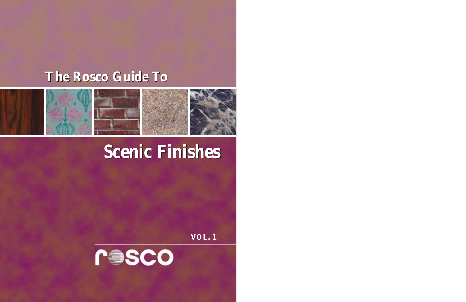## **The Rosco Guide To The Rosco Guide To**



# **Scenic Finishes Scenic Finishes**

**VOL. 1**

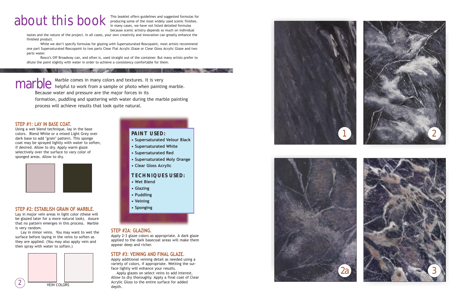This booklet offers guidelines and suggested formulas for producing some of the most widely used scenic finishes. In many cases, we have not listed detailed formulas because scenic artistry depends so much on individual

tastes and the nature of the project. In all cases, your own creativity and innovation can greatly enhance the finished product.

While we don't specify formulas for glazing with Supersaturated Roscopaint, most artists recommend one part Supersaturated Roscopaint to two parts Clear Flat Acrylic Glaze or Clear Gloss Acrylic Glaze and two parts water.

Rosco's Off Broadway can, and often is, used straight out of the container. But many artists prefer to dilute the paint slightly with water in order to achieve a consistency comfortable for them.

#### **STEP #1: LAY IN BASE COAT.**

Using a wet blend technique, lay in the base colors. Blend White or a mixed Light Grey over dark base to add "grain" pattern. This sponge coat may be sprayed lightly with water to soften, if desired. Allow to dry. Apply warm glaze selectively over the surface to vary color of sponged areas. Allow to dry.



#### **STEP #2: ESTABLISH GRAIN OF MARBLE.**

Lay in major vein areas in light color (these will be glazed later for a more natural look). Assure that no pattern emerges in this process. Marble is very random.

Lay in minor veins. You may want to wet the surface before laying in the veins to soften as they are applied. (You may also apply vein and then spray with water to soften.)

#### **PAINT USED:**

- **Supersaturated Velour Black**
- **Supersaturated White**
- **Supersaturated Red**
- **Supersaturated Moly Orange**
- **Clear Gloss Acrylic**

#### **TECHNIQUES USED:**

- **Wet Blend**
- **Glazing**
- **Puddling**
- **Veining**
- **Sponging**





#### **STEP #2A: GLAZING.**

Apply 2-3 glaze colors as appropriate. A dark glaze applied to the dark basecoat areas will make them appear deep and richer.

#### **STEP #3: VEINING AND FINAL GLAZE.**

Apply additional veining detail as needed using a variety of colors, if appropriate. Wetting the surface lightly will enhance your results.

Apply glazes on select veins to add interest. Allow to dry thoroughly. Apply a final coat of Clear Acrylic Gloss to the entire surface for added



# about this book

Marble comes in many colors and textures. It is very marble comes in many colors and textures. It is very<br>marble helpful to work from a sample or photo when painting marble. Because water and pressure are the major forces in its formation, puddling and spattering with water during the marble painting

process will achieve results that look quite natural.

**Management of the Committee of the Committee of the Committee of the Committee of the Committee of the Committee**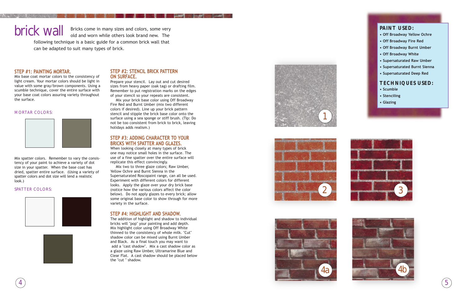#### **STEP #2: STENCIL BRICK PATTERN ON SURFACE.**

Prepare your stencil. Lay out and cut desired sizes from heavy paper (oak tag) or drafting film. Remember to put registration marks on the edges of your stencil so your repeats are consistent.

Mix your brick base color using Off Broadway Fire Red and Burnt Umber (mix two different colors if desired). Line up your brick pattern stencil and stipple the brick base color onto the surface using a sea sponge or stiff brush. (Tip: Do not be too consistent from brick to brick, leaving holidays adds realism.)

#### **STEP #3: ADDING CHARACTER TO YOUR BRICKS WITH SPATTER AND GLAZES.**

When looking closely at many types of brick one may notice small holes in the surface. The use of a fine spatter over the entire surface will replicate this effect convincingly.

Mix two to three glaze colors; Raw Umber, Yellow Ochre and Burnt Sienna in the Supersaturated Roscopaint range, can all be used. Experiment with different colors for different looks. Apply the glaze over your dry brick base (notice how the various colors affect the color below). Do not apply glazes to every brick; allow some original base color to show through for more variety in the surface.

brick wall Bricks come in many sizes and colors, some very old and worn while others look brand new. The old and worn while others look brand new. The following technique is a basic guide for a common brick wall that

#### **STEP #4: HIGHLIGHT AND SHADOW.**

The addition of highlight and shadow to individual bricks will "pop" your painting and add depth. Mix highlight color using Off Broadway White thinned to the consistency of whole milk. "Cut" shadow color can be mixed using Burnt Umber and Black. As a final touch you may want to add a "cast shadow". Mix a cast shadow color as a glaze using Raw Umber, Ultramarine Blue and Clear Flat. A cast shadow should be placed below the "cut " shadow.



#### **STEP #1: PAINTING MORTAR.**

Mix base coat mortar colors to the consistency of light cream. Your mortar colors should be light in value with some gray/brown components. Using a scumble technique, cover the entire surface with your base coat colors assuring variety throughout the surface.

#### MORTAR COLORS:



Mix spatter colors. Remember to vary the consistency of your paint to achieve a variety of dot size in your spatter. When the base coat has dried, spatter entire surface. (Using a variety of spatter colors and dot size will lend a realistic look.)

#### SPATTER COLORS:



can be adapted to suit many types of brick.









#### **PAINT USED:**

- **Off Broadway Yellow Ochre**
- **Off Broadway Fire Red**
- **Off Broadway Burnt Umber**
- **Off Broadway White**
- **Supersaturated Raw Umber**
- **Supersaturated Burnt Sienna**
- **Supersaturated Deep Red**

#### **TECHNIQUES USED:**

- **Scumble**
- **Stenciling**
- **Glazing**

4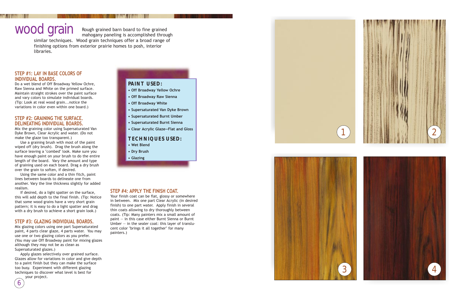#### **STEP #4: APPLY THE FINISH COAT.**

Your finish coat can be flat, glossy or somewhere in between. Mix one part Clear Acrylic (in desired finish) to one part water. Apply finish in several thin coats allowing to dry thoroughly between coats. (Tip: Many painters mix a small amount of paint — in this case either Burnt Sienna or Burnt Umber  $-$  in the sealer coat: this layer of translucent color "brings it all together" for many painters.)



#### **STEP #1: LAY IN BASE COLORS OF INDIVIDUAL BOARDS.**

Do a wet blend of Off Broadway Yellow Ochre, Raw Sienna and White on the primed surface. Maintain straight strokes over the paint surface and vary colors to simulate individual boards. (Tip: Look at real wood grain...notice the variations in color even within one board.)

If desired, do a light spatter on the surface, this will add depth to the final finish. (Tip: Notice that some wood grains have a very short grain pattern; it is easy to do a light spatter and drag with a dry brush to achieve a short grain look.)

#### **STEP #2: GRAINING THE SURFACE. DELINEATING INDIVIDUAL BOARDS.**

Mix the graining color using Supersaturated Van Dyke Brown, Clear Acrylic and water. (Do not make the glaze too transparent.)

Use a graining brush with most of the paint wiped off (dry brush). Drag the brush along the surface leaving a "combed" look. Make sure you have enough paint on your brush to do the entire length of the board. Vary the amount and type of graining used on each board. Drag a dry brush over the grain to soften, if desired.

Using the same color and a thin fitch, paint lines between boards to delineate one from another. Vary the line thickness slightly for added realism.

#### **STEP #3: GLAZING INDIVIDUAL BOARDS.**

Mix glazing colors using one part Supersaturated paint, 4 parts clear glaze, 4 parts water. You may use one or two glazing colors as you prefer. (You may use Off Broadway paint for mixing glazes although they may not be as clean as Supersaturated glazes.)

Apply glazes selectively over grained surface. Glazes allow for variations in color and give depth to a paint finish but they can make the surface too busy. Experiment with different glazing techniques to discover what level is best for your project.

Rough grained barn board to fine grained

mahogany paneling is accomplished through similar techniques. Wood grain techniques offer a broad range of finishing options from exterior prairie homes to posh, interior libraries.

## wood grain









#### **PAINT USED:**

- **Off Broadway Yellow Ochre**
- **Off Broadway Raw Sienna**
- **Off Broadway White**
- **Supersaturated Van Dyke Brown**
- **Supersaturated Burnt Umber**
- **Supersaturated Burnt Sienna**
- **Clear Acrylic Glaze—Flat and Gloss**

### **TECHNIQUES USED:**

- **Wet Blend**
- **Dry Brush**
- **Glazing**

6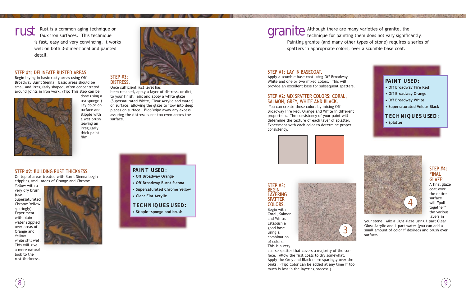#### **STEP #1: DELINEATE RUSTED AREAS.**

Begin laying in basic rusty areas using Off Broadway Burnt Sienna. Basic areas should be small and irregularly shaped, often concentrated around joints in iron work. (Tip: This step can be



done using a sea sponge.) Lay color on surface and stipple with a wet brush leaving an irregularly thick paint film.

#### **STEP #2: BUILDING RUST THICKNESS.**

On top of areas treated with Burnt Sienna begin stippling small areas of Orange and Chrome

Yellow with a very dry brush (use Supersaturated Chrome Yellow sparingly). Experiment with plain water stippled over areas of Orange and Yellow while still wet. This will give a more natural look to the rust thickness.



Rust is a common aging technique on faux iron surfaces. This technique is fast, easy and very convincing. It works well on both 3-dimensional and painted detail.

## rust

### **STEP #3: DISTRESS.**

Once sufficient rust level has been reached, apply a layer of distress, or dirt, to your finish. Mix and apply a white glaze (Supersaturated White, Clear Acrylic and water) on surface, allowing the glaze to flow into deep places on surface. Blot/wipe away any excess assuring the distress is not too even across the surface.

#### **STEP #1: LAY IN BASECOAT.**

Apply a scumble base coat using Off Broadway White and one or two mixed colors. This will provide an excellent base for subsequent spatters.

> your stone. Mix a light glaze using 1 part Clear Gloss Acrylic and 1 part water (you can add a Solid amount of color if desired) and brush over<br>surface.

#### **STEP #2: MIX SPATTER COLORS: CORAL, SALMON, GREY, WHITE AND BLACK.**

You can create these colors by mixing Off Broadway Fire Red, Orange and White in different proportions. The consistency of your paint will determine the texture of each layer of splatter. Experiment with each color to determine proper consistency.





#### **STEP #3: BEGIN LAYERING SPATTER COLORS.**





This is a very

coarse spatter that covers a majority of the surface. Allow the first coats to dry somewhat. Apply the Grey and Black more sparingly over the pinks. (Tip: Color can be added at any time if too much is lost in the layering process.)

Although there are many varieties of granite, the granite Although there are many varieties of granite, the<br>granited technique for painting them does not vary significantly. Painting granite (and many other types of stone) requires a series of spatters in appropriate colors, over a scumble base coat.

#### **PAINT USED:**

- **Off Broadway Orange**
- **Off Broadway Burnt Sienna**
- **Supersaturated Chrome Yellow**
- **Clear Flat Acrylic**

#### **TECHNIQUES USED:**

**• Stipple—sponge and brush**



**• Supersaturated Velour Black**

#### **TECHNIQUES USED:**

**• Splatter**





#### **STEP #4: FINAL GLAZE:**

A final glaze coat over the entire surface will "pull together" the various layers in



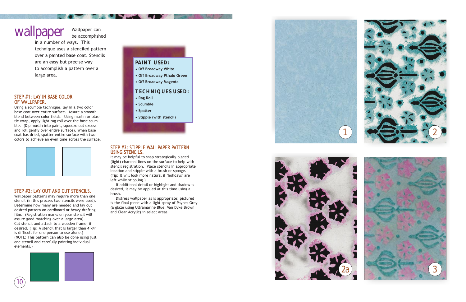





#### **STEP #1: LAY IN BASE COLOR OF WALLPAPER.**

Using a scumble technique, lay in a two color base coat over entire surface. Assure a smooth blend between color fields. Using muslin or plastic wrap, apply light rag roll over the base scumble. (Dip muslin into paint, squeeze out excess and roll gently over entire surface). When base coat has dried, spatter entire surface with two colors to achieve an even tone across the surface.



#### **STEP #2: LAY OUT AND CUT STENCILS.**

Wallpaper patterns may require more than one stencil (in this process two stencils were used). Determine how many are needed and lay out desired pattern on cardboard or heavy drafting film. (Registration marks on your stencil will assure good matching over a large area). Cut stencil and attach to a wooden frame, if desired. (Tip: A stencil that is larger than 4'x4' is difficult for one person to use alone.) (NOTE: This pattern can also be done using just one stencil and carefully painting individual elements.)



Wallpaper can be accomplished wallpaper

> in a number of ways. This technique uses a stenciled pattern over a painted base coat. Stencils are an easy but precise way to accomplish a pattern over a large area.

### **PAINT USED:**

- **Off Broadway White**
- **Off Broadway Pthalo Green**
- **Off Broadway Magenta**

#### **TECHNIQUES USED:**

- **Rag Roll**
- **Scumble**
- **Spatter**
- **Stipple (with stencil)**



It may be helpful to snap strategically placed (light) charcoal lines on the surface to help with stencil registration. Place stencils in appropriate location and stipple with a brush or sponge. (Tip: It will look more natural if "holidays" are left while stippling.)

If additional detail or highlight and shadow is desired, it may be applied at this time using a brush.

Distress wallpaper as is appropriate; pictured is the final piece with a light spray of Paynes Grey (a glaze using Ultramarine Blue, Van Dyke Brown and Clear Acrylic) in select areas.

10